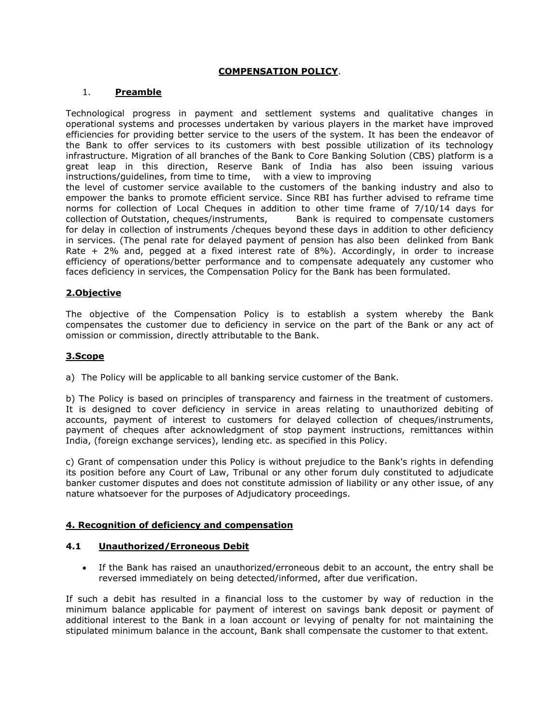#### **COMPENSATION POLICY**.

#### 1. **Preamble**

Technological progress in payment and settlement systems and qualitative changes in operational systems and processes undertaken by various players in the market have improved efficiencies for providing better service to the users of the system. It has been the endeavor of the Bank to offer services to its customers with best possible utilization of its technology infrastructure. Migration of all branches of the Bank to Core Banking Solution (CBS) platform is a great leap in this direction, Reserve Bank of India has also been issuing various instructions/guidelines, from time to time, with a view to improving the level of customer service available to the customers of the banking industry and also to

empower the banks to promote efficient service. Since RBI has further advised to reframe time norms for collection of Local Cheques in addition to other time frame of 7/10/14 days for collection of Outstation, cheques/instruments, Bank is required to compensate customers for delay in collection of instruments /cheques beyond these days in addition to other deficiency in services. (The penal rate for delayed payment of pension has also been delinked from Bank Rate  $+$  2% and, pegged at a fixed interest rate of 8%). Accordingly, in order to increase efficiency of operations/better performance and to compensate adequately any customer who faces deficiency in services, the Compensation Policy for the Bank has been formulated.

#### **2.Objective**

The objective of the Compensation Policy is to establish a system whereby the Bank compensates the customer due to deficiency in service on the part of the Bank or any act of omission or commission, directly attributable to the Bank.

#### **3.Scope**

a) The Policy will be applicable to all banking service customer of the Bank.

b) The Policy is based on principles of transparency and fairness in the treatment of customers. It is designed to cover deficiency in service in areas relating to unauthorized debiting of accounts, payment of interest to customers for delayed collection of cheques/instruments, payment of cheques after acknowledgment of stop payment instructions, remittances within India, (foreign exchange services), lending etc. as specified in this Policy.

c) Grant of compensation under this Policy is without prejudice to the Bank's rights in defending its position before any Court of Law, Tribunal or any other forum duly constituted to adjudicate banker customer disputes and does not constitute admission of liability or any other issue, of any nature whatsoever for the purposes of Adjudicatory proceedings.

### **4. Recognition of deficiency and compensation**

#### **4.1 Unauthorized/Erroneous Debit**

• If the Bank has raised an unauthorized/erroneous debit to an account, the entry shall be reversed immediately on being detected/informed, after due verification.

If such a debit has resulted in a financial loss to the customer by way of reduction in the minimum balance applicable for payment of interest on savings bank deposit or payment of additional interest to the Bank in a loan account or levying of penalty for not maintaining the stipulated minimum balance in the account, Bank shall compensate the customer to that extent.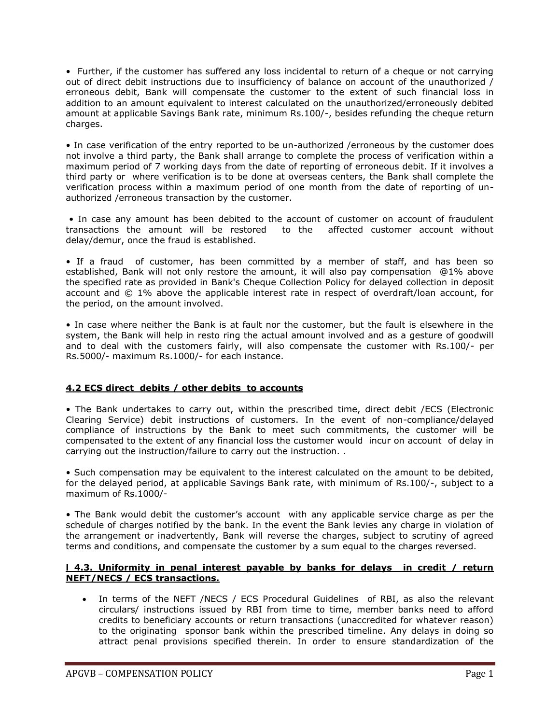• Further, if the customer has suffered any loss incidental to return of a cheque or not carrying out of direct debit instructions due to insufficiency of balance on account of the unauthorized / erroneous debit, Bank will compensate the customer to the extent of such financial loss in addition to an amount equivalent to interest calculated on the unauthorized/erroneously debited amount at applicable Savings Bank rate, minimum Rs.100/-, besides refunding the cheque return charges.

• In case verification of the entry reported to be un-authorized /erroneous by the customer does not involve a third party, the Bank shall arrange to complete the process of verification within a maximum period of 7 working days from the date of reporting of erroneous debit. If it involves a third party or where verification is to be done at overseas centers, the Bank shall complete the verification process within a maximum period of one month from the date of reporting of unauthorized /erroneous transaction by the customer.

• In case any amount has been debited to the account of customer on account of fraudulent transactions the amount will be restored to the affected customer account without delay/demur, once the fraud is established.

• If a fraud of customer, has been committed by a member of staff, and has been so established, Bank will not only restore the amount, it will also pay compensation @1% above the specified rate as provided in Bank's Cheque Collection Policy for delayed collection in deposit account and © 1% above the applicable interest rate in respect of overdraft/loan account, for the period, on the amount involved.

• In case where neither the Bank is at fault nor the customer, but the fault is elsewhere in the system, the Bank will help in resto ring the actual amount involved and as a gesture of goodwill and to deal with the customers fairly, will also compensate the customer with Rs.100/- per Rs.5000/- maximum Rs.1000/- for each instance.

# **4.2 ECS direct debits / other debits to accounts**

• The Bank undertakes to carry out, within the prescribed time, direct debit /ECS (Electronic Clearing Service) debit instructions of customers. In the event of non-compliance/delayed compliance of instructions by the Bank to meet such commitments, the customer will be compensated to the extent of any financial loss the customer would incur on account of delay in carrying out the instruction/failure to carry out the instruction. .

• Such compensation may be equivalent to the interest calculated on the amount to be debited, for the delayed period, at applicable Savings Bank rate, with minimum of Rs.100/-, subject to a maximum of Rs.1000/-

• The Bank would debit the customer's account with any applicable service charge as per the schedule of charges notified by the bank. In the event the Bank levies any charge in violation of the arrangement or inadvertently, Bank will reverse the charges, subject to scrutiny of agreed terms and conditions, and compensate the customer by a sum equal to the charges reversed.

### **l 4.3. Uniformity in penal interest payable by banks for delays in credit / return NEFT/NECS / ECS transactions.**

• In terms of the NEFT /NECS / ECS Procedural Guidelines of RBI, as also the relevant circulars/ instructions issued by RBI from time to time, member banks need to afford credits to beneficiary accounts or return transactions (unaccredited for whatever reason) to the originating sponsor bank within the prescribed timeline. Any delays in doing so attract penal provisions specified therein. In order to ensure standardization of the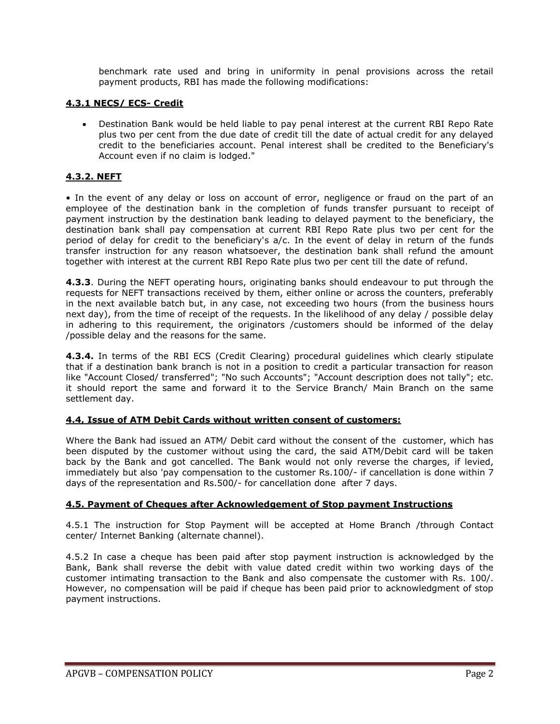benchmark rate used and bring in uniformity in penal provisions across the retail payment products, RBI has made the following modifications:

# **4.3.1 NECS/ ECS- Credit**

• Destination Bank would be held liable to pay penal interest at the current RBI Repo Rate plus two per cent from the due date of credit till the date of actual credit for any delayed credit to the beneficiaries account. Penal interest shall be credited to the Beneficiary's Account even if no claim is lodged."

### **4.3.2. NEFT**

• In the event of any delay or loss on account of error, negligence or fraud on the part of an employee of the destination bank in the completion of funds transfer pursuant to receipt of payment instruction by the destination bank leading to delayed payment to the beneficiary, the destination bank shall pay compensation at current RBI Repo Rate plus two per cent for the period of delay for credit to the beneficiary's a/c. In the event of delay in return of the funds transfer instruction for any reason whatsoever, the destination bank shall refund the amount together with interest at the current RBI Repo Rate plus two per cent till the date of refund.

**4.3.3**. During the NEFT operating hours, originating banks should endeavour to put through the requests for NEFT transactions received by them, either online or across the counters, preferably in the next available batch but, in any case, not exceeding two hours (from the business hours next day), from the time of receipt of the requests. In the likelihood of any delay / possible delay in adhering to this requirement, the originators /customers should be informed of the delay /possible delay and the reasons for the same.

**4.3.4.** In terms of the RBI ECS (Credit Clearing) procedural guidelines which clearly stipulate that if a destination bank branch is not in a position to credit a particular transaction for reason like "Account Closed/ transferred"; "No such Accounts"; "Account description does not tally"; etc. it should report the same and forward it to the Service Branch/ Main Branch on the same settlement day.

### **4.4, Issue of ATM Debit Cards without written consent of customers:**

Where the Bank had issued an ATM/ Debit card without the consent of the customer, which has been disputed by the customer without using the card, the said ATM/Debit card will be taken back by the Bank and got cancelled. The Bank would not only reverse the charges, if levied, immediately but also 'pay compensation to the customer Rs.100/- if cancellation is done within 7 days of the representation and Rs.500/- for cancellation done after 7 days.

### **4.5. Payment of Cheques after Acknowledgement of Stop payment Instructions**

4.5.1 The instruction for Stop Payment will be accepted at Home Branch /through Contact center/ Internet Banking (alternate channel).

4.5.2 In case a cheque has been paid after stop payment instruction is acknowledged by the Bank, Bank shall reverse the debit with value dated credit within two working days of the customer intimating transaction to the Bank and also compensate the customer with Rs. 100/. However, no compensation will be paid if cheque has been paid prior to acknowledgment of stop payment instructions.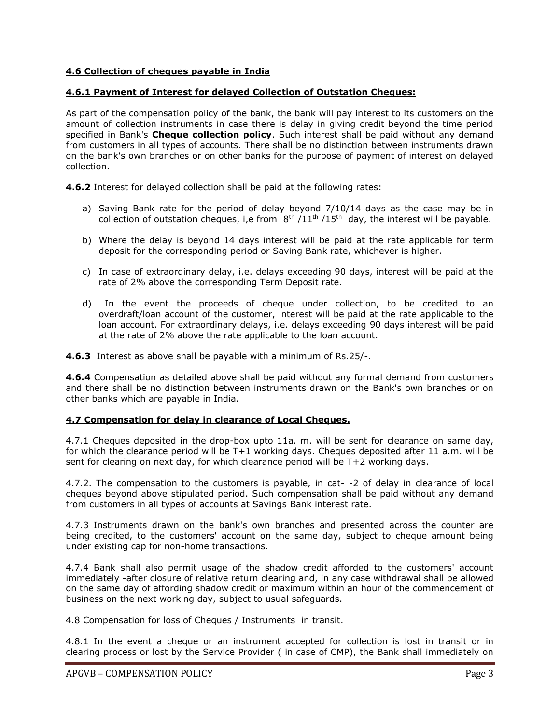### **4.6 Collection of cheques payable in India**

### **4.6.1 Payment of Interest for delayed Collection of Outstation Cheques:**

As part of the compensation policy of the bank, the bank will pay interest to its customers on the amount of collection instruments in case there is delay in giving credit beyond the time period specified in Bank's **Cheque collection policy**. Such interest shall be paid without any demand from customers in all types of accounts. There shall be no distinction between instruments drawn on the bank's own branches or on other banks for the purpose of payment of interest on delayed collection.

**4.6.2** Interest for delayed collection shall be paid at the following rates:

- a) Saving Bank rate for the period of delay beyond 7/10/14 days as the case may be in collection of outstation cheques, i,e from  $8<sup>th</sup> / 11<sup>th</sup> / 15<sup>th</sup>$  day, the interest will be payable.
- b) Where the delay is beyond 14 days interest will be paid at the rate applicable for term deposit for the corresponding period or Saving Bank rate, whichever is higher.
- c) In case of extraordinary delay, i.e. delays exceeding 90 days, interest will be paid at the rate of 2% above the corresponding Term Deposit rate.
- d) In the event the proceeds of cheque under collection, to be credited to an overdraft/loan account of the customer, interest will be paid at the rate applicable to the loan account. For extraordinary delays, i.e. delays exceeding 90 days interest will be paid at the rate of 2% above the rate applicable to the loan account.

**4.6.3** Interest as above shall be payable with a minimum of Rs.25/-.

**4.6.4** Compensation as detailed above shall be paid without any formal demand from customers and there shall be no distinction between instruments drawn on the Bank's own branches or on other banks which are payable in India.

### **4.7 Compensation for delay in clearance of Local Cheques.**

4.7.1 Cheques deposited in the drop-box upto 11a. m. will be sent for clearance on same day, for which the clearance period will be T+1 working days. Cheques deposited after 11 a.m. will be sent for clearing on next day, for which clearance period will be T+2 working days.

4.7.2. The compensation to the customers is payable, in cat- -2 of delay in clearance of local cheques beyond above stipulated period. Such compensation shall be paid without any demand from customers in all types of accounts at Savings Bank interest rate.

4.7.3 Instruments drawn on the bank's own branches and presented across the counter are being credited, to the customers' account on the same day, subject to cheque amount being under existing cap for non-home transactions.

4.7.4 Bank shall also permit usage of the shadow credit afforded to the customers' account immediately -after closure of relative return clearing and, in any case withdrawal shall be allowed on the same day of affording shadow credit or maximum within an hour of the commencement of business on the next working day, subject to usual safeguards.

4.8 Compensation for loss of Cheques / Instruments in transit.

4.8.1 In the event a cheque or an instrument accepted for collection is lost in transit or in clearing process or lost by the Service Provider ( in case of CMP), the Bank shall immediately on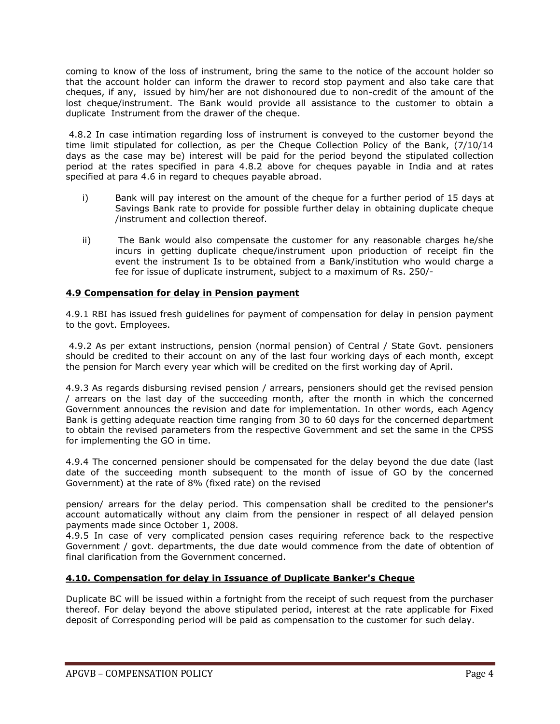coming to know of the loss of instrument, bring the same to the notice of the account holder so that the account holder can inform the drawer to record stop payment and also take care that cheques, if any, issued by him/her are not dishonoured due to non-credit of the amount of the lost cheque/instrument. The Bank would provide all assistance to the customer to obtain a duplicate Instrument from the drawer of the cheque.

4.8.2 In case intimation regarding loss of instrument is conveyed to the customer beyond the time limit stipulated for collection, as per the Cheque Collection Policy of the Bank, (7/10/14 days as the case may be) interest will be paid for the period beyond the stipulated collection period at the rates specified in para 4.8.2 above for cheques payable in India and at rates specified at para 4.6 in regard to cheques payable abroad.

- i) Bank will pay interest on the amount of the cheque for a further period of 15 days at Savings Bank rate to provide for possible further delay in obtaining duplicate cheque /instrument and collection thereof.
- ii) The Bank would also compensate the customer for any reasonable charges he/she incurs in getting duplicate cheque/instrument upon prioduction of receipt fin the event the instrument Is to be obtained from a Bank/institution who would charge a fee for issue of duplicate instrument, subject to a maximum of Rs. 250/-

# **4.9 Compensation for delay in Pension payment**

4.9.1 RBI has issued fresh guidelines for payment of compensation for delay in pension payment to the govt. Employees.

4.9.2 As per extant instructions, pension (normal pension) of Central / State Govt. pensioners should be credited to their account on any of the last four working days of each month, except the pension for March every year which will be credited on the first working day of April.

4.9.3 As regards disbursing revised pension / arrears, pensioners should get the revised pension / arrears on the last day of the succeeding month, after the month in which the concerned Government announces the revision and date for implementation. In other words, each Agency Bank is getting adequate reaction time ranging from 30 to 60 days for the concerned department to obtain the revised parameters from the respective Government and set the same in the CPSS for implementing the GO in time.

4.9.4 The concerned pensioner should be compensated for the delay beyond the due date (last date of the succeeding month subsequent to the month of issue of GO by the concerned Government) at the rate of 8% (fixed rate) on the revised

pension/ arrears for the delay period. This compensation shall be credited to the pensioner's account automatically without any claim from the pensioner in respect of all delayed pension payments made since October 1, 2008.

4.9.5 In case of very complicated pension cases requiring reference back to the respective Government / govt. departments, the due date would commence from the date of obtention of final clarification from the Government concerned.

### **4.10. Compensation for delay in Issuance of Duplicate Banker's Cheque**

Duplicate BC will be issued within a fortnight from the receipt of such request from the purchaser thereof. For delay beyond the above stipulated period, interest at the rate applicable for Fixed deposit of Corresponding period will be paid as compensation to the customer for such delay.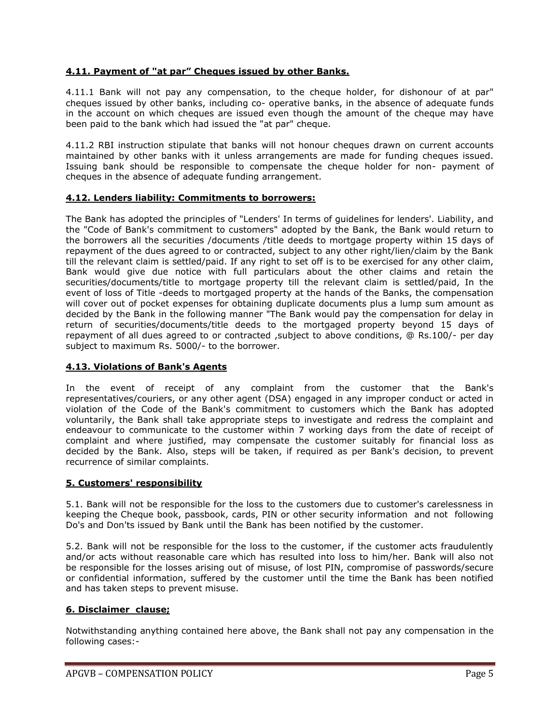# **4.11. Payment of "at par" Cheques issued by other Banks.**

4.11.1 Bank will not pay any compensation, to the cheque holder, for dishonour of at par" cheques issued by other banks, including co- operative banks, in the absence of adequate funds in the account on which cheques are issued even though the amount of the cheque may have been paid to the bank which had issued the "at par" cheque.

4.11.2 RBI instruction stipulate that banks will not honour cheques drawn on current accounts maintained by other banks with it unless arrangements are made for funding cheques issued. Issuing bank should be responsible to compensate the cheque holder for non- payment of cheques in the absence of adequate funding arrangement.

# **4.12. Lenders liability: Commitments to borrowers:**

The Bank has adopted the principles of "Lenders' In terms of guidelines for lenders'. Liability, and the "Code of Bank's commitment to customers" adopted by the Bank, the Bank would return to the borrowers all the securities /documents /title deeds to mortgage property within 15 days of repayment of the dues agreed to or contracted, subject to any other right/lien/claim by the Bank till the relevant claim is settled/paid. If any right to set off is to be exercised for any other claim, Bank would give due notice with full particulars about the other claims and retain the securities/documents/title to mortgage property till the relevant claim is settled/paid, In the event of loss of Title -deeds to mortgaged property at the hands of the Banks, the compensation will cover out of pocket expenses for obtaining duplicate documents plus a lump sum amount as decided by the Bank in the following manner "The Bank would pay the compensation for delay in return of securities/documents/title deeds to the mortgaged property beyond 15 days of repayment of all dues agreed to or contracted ,subject to above conditions, @ Rs.100/- per day subject to maximum Rs. 5000/- to the borrower.

# **4.13. Violations of Bank's Agents**

In the event of receipt of any complaint from the customer that the Bank's representatives/couriers, or any other agent (DSA) engaged in any improper conduct or acted in violation of the Code of the Bank's commitment to customers which the Bank has adopted voluntarily, the Bank shall take appropriate steps to investigate and redress the complaint and endeavour to communicate to the customer within 7 working days from the date of receipt of complaint and where justified, may compensate the customer suitably for financial loss as decided by the Bank. Also, steps will be taken, if required as per Bank's decision, to prevent recurrence of similar complaints.

### **5. Customers' responsibility**

5.1. Bank will not be responsible for the loss to the customers due to customer's carelessness in keeping the Cheque book, passbook, cards, PIN or other security information and not following Do's and Don'ts issued by Bank until the Bank has been notified by the customer.

5.2. Bank will not be responsible for the loss to the customer, if the customer acts fraudulently and/or acts without reasonable care which has resulted into loss to him/her. Bank will also not be responsible for the losses arising out of misuse, of lost PIN, compromise of passwords/secure or confidential information, suffered by the customer until the time the Bank has been notified and has taken steps to prevent misuse.

### **6. Disclaimer clause;**

Notwithstanding anything contained here above, the Bank shall not pay any compensation in the following cases:-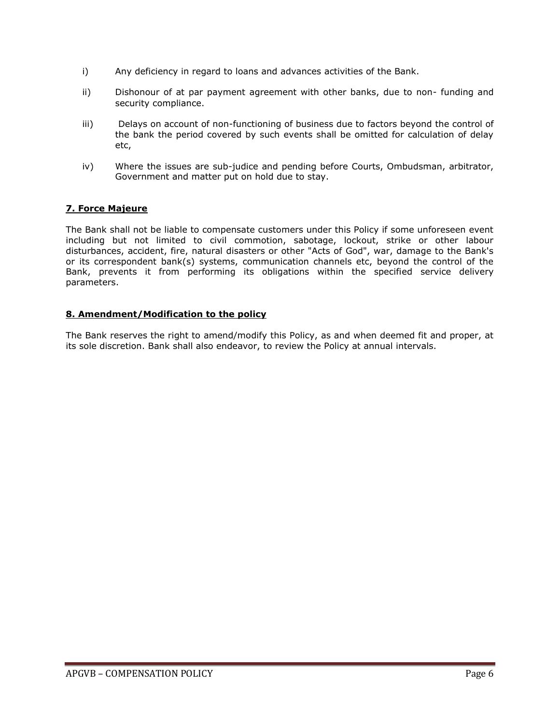- i) Any deficiency in regard to loans and advances activities of the Bank.
- ii) Dishonour of at par payment agreement with other banks, due to non- funding and security compliance.
- iii) Delays on account of non-functioning of business due to factors beyond the control of the bank the period covered by such events shall be omitted for calculation of delay etc,
- iv) Where the issues are sub-judice and pending before Courts, Ombudsman, arbitrator, Government and matter put on hold due to stay.

# **7. Force Majeure**

The Bank shall not be liable to compensate customers under this Policy if some unforeseen event including but not limited to civil commotion, sabotage, lockout, strike or other labour disturbances, accident, fire, natural disasters or other "Acts of God", war, damage to the Bank's or its correspondent bank(s) systems, communication channels etc, beyond the control of the Bank, prevents it from performing its obligations within the specified service delivery parameters.

# **8. Amendment/Modification to the policy**

The Bank reserves the right to amend/modify this Policy, as and when deemed fit and proper, at its sole discretion. Bank shall also endeavor, to review the Policy at annual intervals.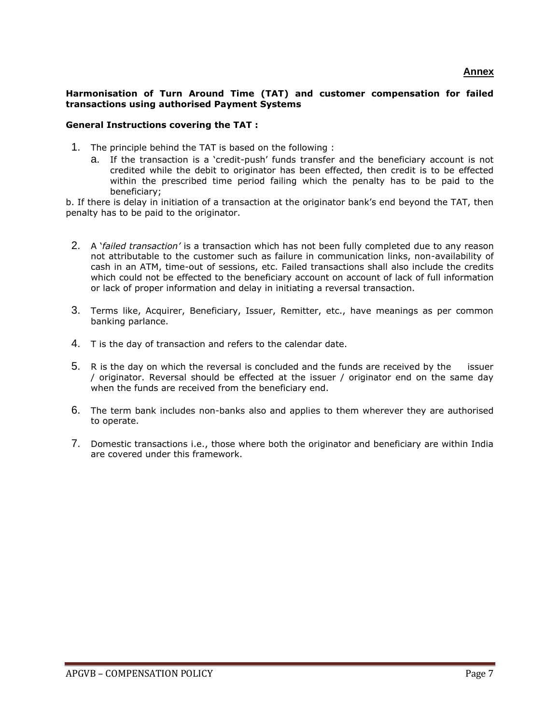#### **Harmonisation of Turn Around Time (TAT) and customer compensation for failed transactions using authorised Payment Systems**

#### **General Instructions covering the TAT :**

- 1. The principle behind the TAT is based on the following :
	- a. If the transaction is a 'credit-push' funds transfer and the beneficiary account is not credited while the debit to originator has been effected, then credit is to be effected within the prescribed time period failing which the penalty has to be paid to the beneficiary;

b. If there is delay in initiation of a transaction at the originator bank's end beyond the TAT, then penalty has to be paid to the originator.

- 2. A '*failed transaction'* is a transaction which has not been fully completed due to any reason not attributable to the customer such as failure in communication links, non-availability of cash in an ATM, time-out of sessions, etc. Failed transactions shall also include the credits which could not be effected to the beneficiary account on account of lack of full information or lack of proper information and delay in initiating a reversal transaction.
- 3. Terms like, Acquirer, Beneficiary, Issuer, Remitter, etc., have meanings as per common banking parlance.
- 4. T is the day of transaction and refers to the calendar date.
- 5. R is the day on which the reversal is concluded and the funds are received by the issuer / originator. Reversal should be effected at the issuer / originator end on the same day when the funds are received from the beneficiary end.
- 6. The term bank includes non-banks also and applies to them wherever they are authorised to operate.
- 7. Domestic transactions i.e., those where both the originator and beneficiary are within India are covered under this framework.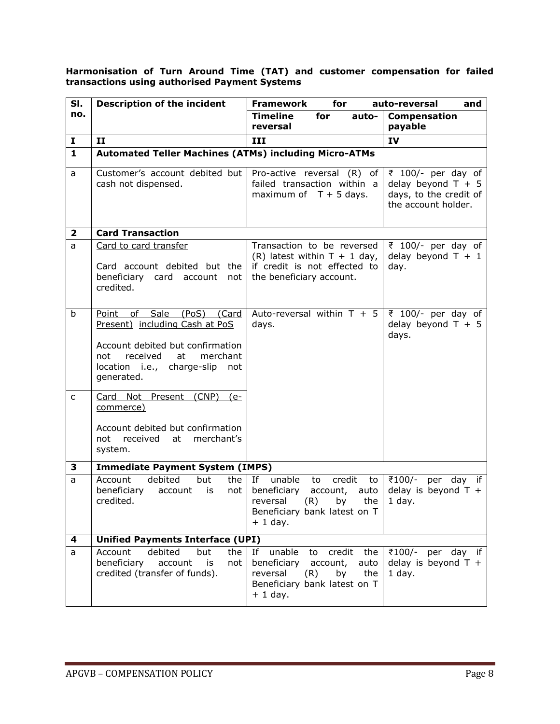#### **Harmonisation of Turn Around Time (TAT) and customer compensation for failed transactions using authorised Payment Systems**

| SI.                     | <b>Description of the incident</b>                                                                                                                                                               | for<br><b>Framework</b><br>auto-reversal<br>and                                                                                                     |                                                                                             |  |
|-------------------------|--------------------------------------------------------------------------------------------------------------------------------------------------------------------------------------------------|-----------------------------------------------------------------------------------------------------------------------------------------------------|---------------------------------------------------------------------------------------------|--|
| no.                     |                                                                                                                                                                                                  | <b>Timeline</b><br>for<br>auto-<br>reversal                                                                                                         | Compensation<br>payable                                                                     |  |
| I                       | H                                                                                                                                                                                                | III                                                                                                                                                 | IV                                                                                          |  |
| $\mathbf{1}$            | <b>Automated Teller Machines (ATMs) including Micro-ATMs</b>                                                                                                                                     |                                                                                                                                                     |                                                                                             |  |
| a                       | Customer's account debited but<br>cash not dispensed.                                                                                                                                            | Pro-active reversal (R) of<br>failed transaction within a<br>maximum of $T + 5$ days.                                                               | ₹ 100/- per day of<br>delay beyond $T + 5$<br>days, to the credit of<br>the account holder. |  |
| $\overline{\mathbf{2}}$ | <b>Card Transaction</b>                                                                                                                                                                          |                                                                                                                                                     |                                                                                             |  |
| a                       | Card to card transfer<br>Card account debited but the<br>beneficiary<br>card account<br>not<br>credited.                                                                                         | Transaction to be reversed<br>$(R)$ latest within T + 1 day,<br>if credit is not effected to<br>the beneficiary account.                            | ₹ 100/- per day of<br>delay beyond $T + 1$<br>day.                                          |  |
| b                       | of<br>Sale<br>(PoS) (Card<br>Point<br>Present) including Cash at PoS<br>Account debited but confirmation<br>not<br>received<br>at<br>merchant<br>location i.e., charge-slip<br>not<br>generated. | Auto-reversal within $T + 5$<br>days.                                                                                                               | ₹ 100/- per day of<br>delay beyond $T + 5$<br>days.                                         |  |
| $\mathsf{C}$            | Card Not Present (CNP)<br>(e-<br>commerce)<br>Account debited but confirmation<br>not<br>received<br>merchant's<br>at<br>system.                                                                 |                                                                                                                                                     |                                                                                             |  |
| 3                       | <b>Immediate Payment System (IMPS)</b>                                                                                                                                                           |                                                                                                                                                     |                                                                                             |  |
| a                       | but<br>Account<br>debited<br>the<br>beneficiary<br>account<br>is<br>not<br>credited.                                                                                                             | If<br>unable<br>credit<br>to<br>to<br>beneficiary<br>auto<br>account,<br>(R)<br>the<br>reversal<br>by<br>Beneficiary bank latest on T<br>$+1$ day.  | ₹100/-<br>per day if<br>delay is beyond $T +$<br>$1$ day.                                   |  |
| 4                       | <b>Unified Payments Interface (UPI)</b>                                                                                                                                                          |                                                                                                                                                     |                                                                                             |  |
| a                       | debited<br>but<br>the<br>Account<br>beneficiary<br>account<br>is<br>not<br>credited (transfer of funds).                                                                                         | unable<br>the<br>If<br>credit<br>to<br>beneficiary<br>account,<br>auto<br>(R)<br>the<br>reversal<br>by<br>Beneficiary bank latest on T<br>$+1$ day. | ₹100/-<br>per day if<br>delay is beyond $T +$<br>$1$ day.                                   |  |